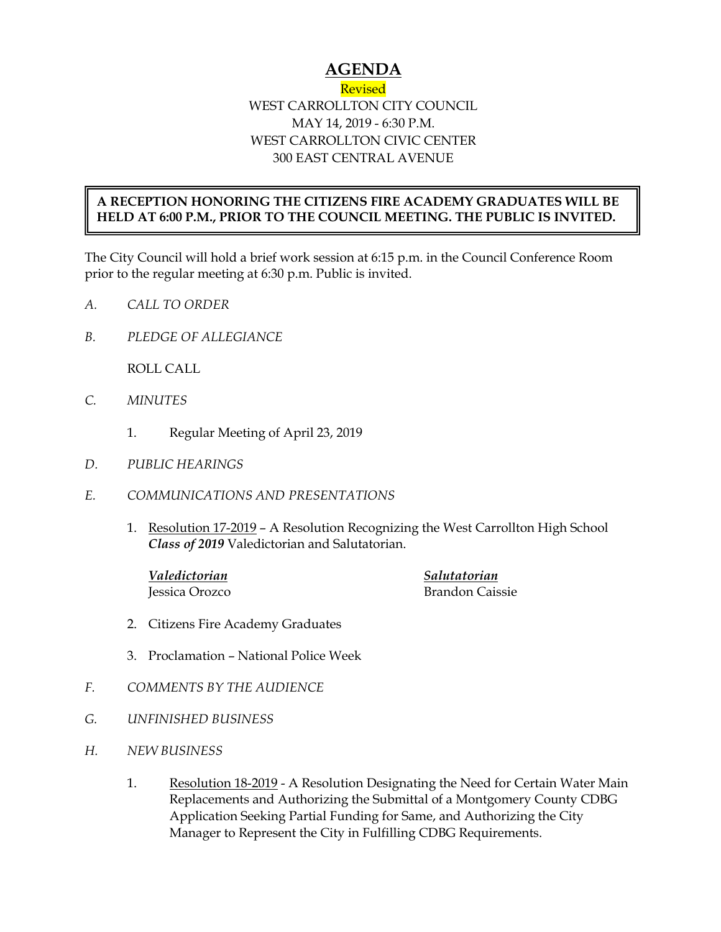## **AGENDA**

## Revised WEST CARROLLTON CITY COUNCIL MAY 14, 2019 - 6:30 P.M. WEST CARROLLTON CIVIC CENTER 300 EAST CENTRAL AVENUE

## **A RECEPTION HONORING THE CITIZENS FIRE ACADEMY GRADUATES WILL BE HELD AT 6:00 P.M., PRIOR TO THE COUNCIL MEETING. THE PUBLIC IS INVITED.**

The City Council will hold a brief work session at 6:15 p.m. in the Council Conference Room prior to the regular meeting at 6:30 p.m. Public is invited.

- *A. CALL TO ORDER*
- *B. PLEDGE OF ALLEGIANCE*

ROLL CALL

- *C. MINUTES* 
	- 1. Regular Meeting of April 23, 2019
- *D. PUBLIC HEARINGS*
- *E. COMMUNICATIONS AND PRESENTATIONS* 
	- 1. Resolution 17-2019 A Resolution Recognizing the West Carrollton High School *Class of 2019* Valedictorian and Salutatorian.

*Valedictorian Salutatorian*

Jessica Orozco Brandon Caissie

- 2. Citizens Fire Academy Graduates
- 3. Proclamation National Police Week
- *F. COMMENTS BY THE AUDIENCE*
- *G. UNFINISHED BUSINESS*
- *H. NEW BUSINESS* 
	- 1. Resolution 18-2019 A Resolution Designating the Need for Certain Water Main Replacements and Authorizing the Submittal of a Montgomery County CDBG Application Seeking Partial Funding for Same, and Authorizing the City Manager to Represent the City in Fulfilling CDBG Requirements.